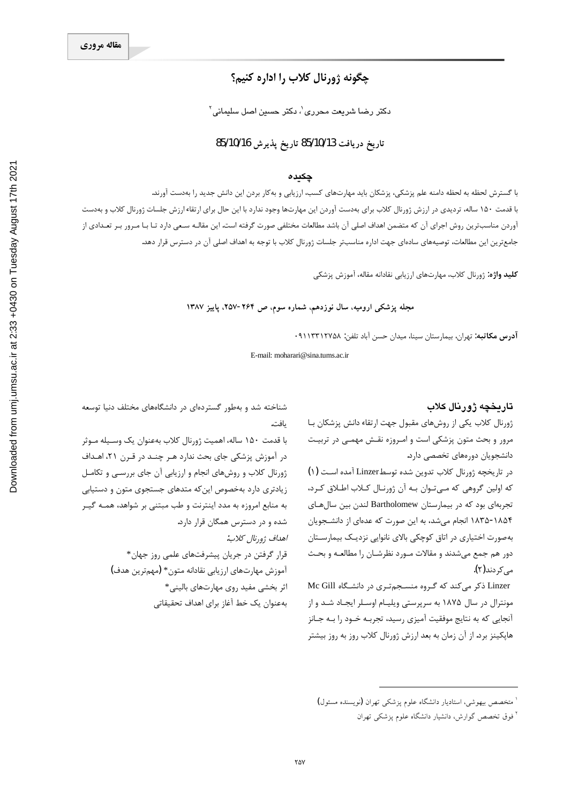# چگونه ژورنال کلاب را اداره کنيم؟

ِ دکتر رضا شریعت محرری <sup>י</sup>، دکتر حسین اصل سلیمانی <sup>۲</sup>

### تاريخ دريافت 85/10/13 تاريخ يذيرش 85/10/16

#### چکىدە

با گسترش لحظه به لحظه دامنه علم پزشکی، پزشکان باید مهارتهای کسب، ارزیابی و بهکار بردن این دانش جدید را بهدست آورند. با قدمت ۱۵۰ ساله، تردیدی در ارزش ژورنال کلاب برای بهدست آوردن این مهارتها وجود ندارد با این حال برای ارتقاء ارزش جلسات ژورنال کلاب و بهدست آوردن مناسبترین روش اجرای آن که متضمن اهداف اصلی آن باشد مطالعات مختلفی صورت گرفته است. این مقالـه سـعی دارد تـا بـا مـرور بـر تعـدادی از جامع ترین این مطالعات، توصیههای سادهای جهت اداره مناسبتر جلسات ژورنال کلاب با توجه به اهداف اصلی آن در دسترس قرار دهد.

**كليد واژه:** ژورنال كلاب، مهارتهاى ارزيابي نقادانه مقاله، آموزش پزشكي

مجله پزشکی ارومیه، سال نوزدهم، شماره سوم، ص ۲۶۴-۲۵۷. پاییز ۱۳۸۷

آ**درس مکاتبه:** تهران، بیمارستان سینا، میدان حسن آباد تلفن: ۹۱۱۳۳۱۲۷۵۸۰

E-mail: moharari@sina.tums.ac.ir

#### تاريخچه ژورنال کلاب

ژورنال کلاب یکی از روشهای مقبول جهت ارتقاء دانش پزشکان با مرور و بحث متون پزشکی است و امـروزه نقـش مهمـی در تربیـت دانشجویان دورههای تخصصی دارد.

در تاریخچه ژورنال کلاب تدوین شده توسطLinzer آمده اسـت (۱) که اولین گروهی که مـیتـوان بـه آن ژورنـال کـلاب اطـلاق کـرد، تجربهای بود که در بیمارستان Bartholomew لندن بین سال های ۱۸۵۴-۱۸۳۵ انجام میشد، به این صورت که عدهای از دانشجویان بهصورت اختیاری در اتاق کوچکی بالای نانوایی نزدیک بیمارستان دور هم جمع میشدند و مقالات مـورد نظرشـان را مطالعـه و بحـث مىكردند(۲).

Linzer ذکر می کند که گروه منسجم تری در دانشگاه Mc Gill مونترال در سال ۱۸۷۵ به سرپرستی ویلیـام اوسـلر ایجـاد شـد و از آنجایی که به نتایج موفقیت آمیزی رسید، تجربـه خــود را بــه جــانز هاپکینز برد. از آن زمان به بعد ارزش ژورنال کلاب روز به روز بیشتر

شناخته شد و بهطور گستردهای در دانشگاههای مختلف دنیا توسعه ىافت.

با قدمت ۱۵۰ ساله، اهمیت ژورنال کلاب بهعنوان یک وسـیله مـوثر در آموزش پزشکی جای بحث ندارد هـر چنـد در قـرن ۲۱، اهـداف ژورنال کلاب و روشهای انجام و ارزیابی آن جای بررسی و تکامل زیادتری دارد بهخصوص این که متدهای جستجوی متون و دستیابی به منابع امروزه به مدد اینترنت و طب مبتنی بر شواهد، همـه گیـر شده و در دسترس همگان قرار دارد. اهداف ژورنال كلاب:

> قرار گرفتن در جریان پیشرفتهای علمی روز جهان\* آموزش مهارتهاى ارزيابي نقادانه متون\* (مهمترين هدف) اثر بخشی مفید روی مهارتهای بالینی\* بهعنوان يک خط آغاز براي اهداف تحقيقاتي

<sup>۲</sup> فوق تخصص گوارش، دانشیار دانشگاه علوم پزشک<sub>ی</sub> تهران

<sup>&</sup>lt;sup>ا</sup> متخصص بیهوشی، استادیار دانشگاه علوم پزشکی تهران **(**نویسنده مسئول**)**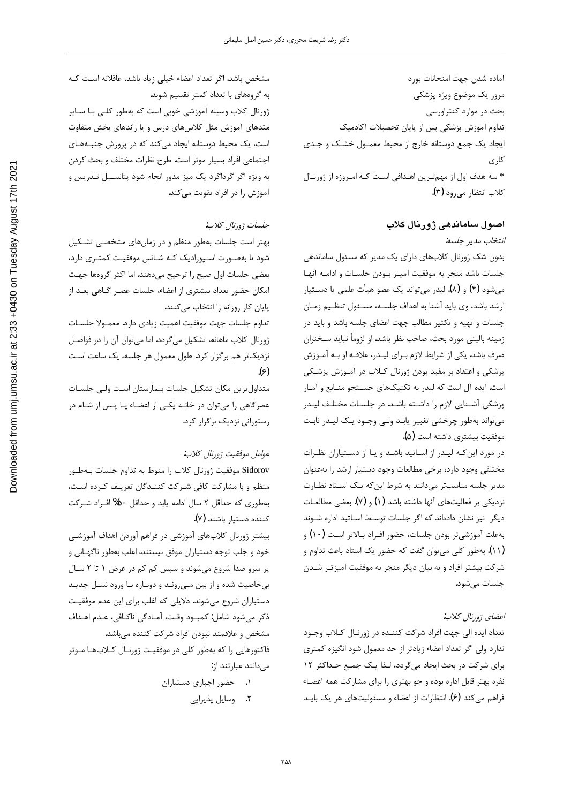آماده شدن جهت امتحانات بورد مرور یک موضوع ویژه پزشکی بحث در موارد كنتراورسى تداوم آموزش پزشکی پس از پایان تحصیلات آکادمیک ایجاد یک جمع دوستانه خارج از محیط معمـول خشـک و جـدی کاری \* سه هدف اول از مهمتـرین اهـدافی اسـت کـه امـروزه از ژورنـال كلاب انتظار مى<sub>د</sub>ود (۳).

## اصول ساماندهی ژورنال کلاب

انتخاب مدير جلسه:

بدون شک ژورنال کلابهای دارای یک مدیر که مسئول ساماندهی جلسات باشد منجر به موفقيت آميـز بـودن جلسـات و ادامـه آنهـا میشود (۴) و (۸). لیدر میتواند یک عضو هیأت علمی یا دســتیار ارشد باشد، وی باید آشنا به اهداف جلسـه، مسـئول تنظـیم زمـان جلسات و تهيه و تكثير مطالب جهت اعضاى جلسه باشد و بايد در زمينه باليني مورد بحث، صاحب نظر باشد. او لزوماً نبايد سـخنران صرف باشد. یکی از شرایط لازم بـرای لیـدر، علاقـه او بـه آمـوزش پزشکی و اعتقاد بر مفید بودن ژورنال کـلاب در آمـوزش پزشـکی است. ایده آل است که لیدر به تکنیکهای جستجو منـابع و آمـار پزشکی آشـنایی لازم را داشـته باشـد. در جلسـات مختلـف ليـدر می تواند بهطور چرخشی تغییر پابـد ولـی وجـود پـک لیـدر ثابـت موفقيت بيشتري داشته است (۵**)**.

در مورد این *ک*ه لیدر از اساتید باشد و یا از دستیاران نظرات مختلفي وجود دارد، برخي مطالعات وجود دستيار ارشد را بهعنوان مدیر جلسه مناسبتر میدانند به شرط این که یک استاد نظارت نزدیکی بر فعالیتهای آنها داشته باشد (۱) و (۷). بعضی مطالعـات دیگر نیز نشان دادهاند که اگر جلسات توسط اسـاتید اداره شـوند بهعلت آموزشي¤ر بودن جلسات، حضور افـراد بـالاتر اسـت (١٠) و (۱۱). بهطور کلی میتوان گفت که حضور یک استاد باعث تداوم و شرکت بیشتر افراد و به بیان دیگر منجر به موفقیت آمیزتـر شـدن جلسات مے شود.

#### اعضاي ژورنال كلاب:

تعداد ايده الى جهت افراد شركت كننـده در ژورنـال كـلاب وجـود ندارد ولی اگر تعداد اعضاء زيادتر از حد معمول شود انگيزه كمترى برای شرکت در بحث ایجاد میگردد، لذا یک جمع حداکثر ١٢ نفره بهتر قابل اداره بوده و جو بهتری را برای مشارکت همه اعضاء فراهم میکند (۶). انتظارات از اعضاء و مسئولیتهای هر یک بایـد

مشخص باشد. اگر تعداد اعضاء خیلی زیاد باشد، عاقلانه است کـه به گروههای با تعداد کمتر تقسیم شوند. ژورنال کلاب وسیله آموزشی خوبی است که بهطور کلـی بـا سـایر متدهای آموزش مثل کلاسهای درس و یا راندهای بخش متفاوت است، یک محیط دوستانه ایجاد میکند که در پرورش جنبـههـای اجتماعی افراد بسیار موثر است. طرح نظرات مختلف و بحث کردن به ویژه اگر گرداگرد یک میز مدور انجام شود پتانسـیل تـدریس و آموزش را در افراد تقویت میکند.

#### جلسات ژورنال كلاب:

بهتر است جلسات بهطور منظم و در زمانهای مشخصی تشکیل شود تا بهصـورت اسـپورادیک کـه شـانس موفقیـت کمتـری دارد، بعضي جلسات اول صبح را ترجيح ميدهند. اما اكثر گروهها جهت امکان حضور تعداد بیشتری از اعضاء، جلسات عصـر گـاهی بعــد از یایان کار روزانه را انتخاب می کنند.

تداوم جلسات جهت موفقيت اهميت زيادى دارد. معمـولا جلسـات ژورنال كلاب ماهانه، تشكيل ميگردد. اما مي توان آن را در فواصل نزدیکتر هم برگزار کرد. طول معمول هر جلسه، یک ساعت است  $(\epsilon)$ 

متداول ترين مكان تشكيل جلسات بيمارستان است ولـى جلسـات عصرگاهی را میتوان در خانـه یکـی از اعضـاء یـا پـس از شـام در رستوراني نزديک برگزار کرد.

#### عو*امل موفقيت ژورنال كلاب:*

Sidorov موفقيت ژورنال كلاب را منوط به تداوم جلسات بـهطـور منظم و با مشاركت كافي شـركت كننـدگان تعريـف كـرده اسـت، بهطوري كه حداقل ٢ سال ادامه يابد و حداقل ٥٠% افـراد شـركت کننده دستیار باشند (٧).

بیشتر ژورنال کلابهای آموزشی در فراهم آوردن اهداف آموزشی خود و جلب توجه دستياران موفق نيستند، اغلب بهطور ناگهـاني و پر سرو صدا شروع میشوند و سپس کم کم در عرض ۱ تا ۲ سـال بی خاصیت شده و از بین می روند و دوباره با ورود نسل جدید دستياران شروع ميشوند. دلايلي كه اغلب براي اين عدم موفقيت ذكر مىشود شامل: كمبـود وقـت، آمـادگى ناكـافى، عـدم اهـداف مشخص و علاقمند نبودن افراد شركت كننده مىباشد.

فاكتورهايي را كه بهطور كلي در موفقيت ژورنـال كـلابهـا مـوثر میدانند عبارتند از:

۰۱ حضور اجباری دستیاران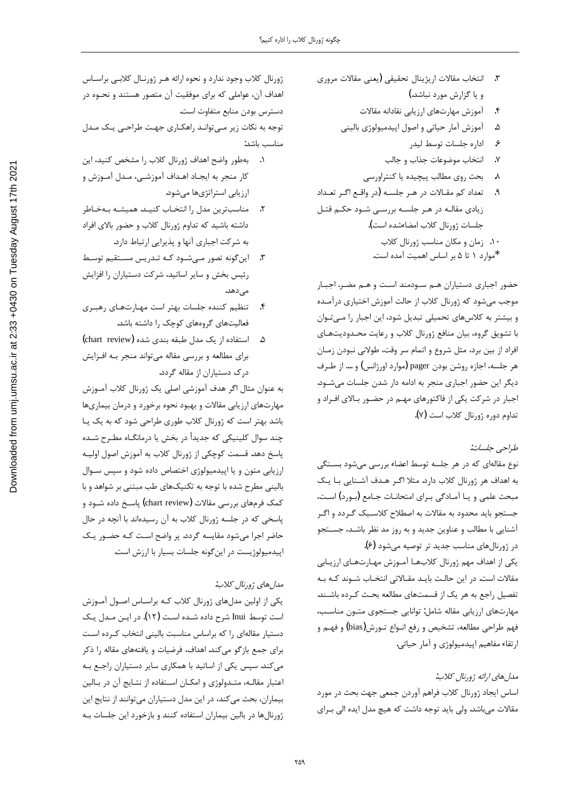- ٣. انتخاب مقالات اريژينال تحقيقي (يعني مقالات مروري و یا گزارش مورد نباشد.)
	- ۴. آموزش مهارتهای ارزیابی نقادانه مقالات
	- آموزش آمار حياتي و اصول اپيدميولوژي باليني . $\Delta$ 
		- ۶. اداره جلسات توسط ليدر
		- ٧. انتخاب موضوعات جذاب و جالب
		- بحث روى مطالب پيچيده يا كنتراورسى  $\lambda$
- تعداد کم مقالات در هر جلسه (در واقع اگر تعداد زیادی مقالـه در هـر جلسـه بررسـی شـود حکـم قتـل جلسات ژورنال كلاب امضاءشده است).
	- ١٠. زمان و مكان مناسب ژورنال كلاب
	- \*موارد ١ تا ۵ بر اساس اهميت آمده است.

حضور اجباری دستیاران هم سودمند است و هم مضر. اجبار موجب میشود که ژورنال کلاب از حالت آموزش اختیاری درآمـده و بیشتر به کلاسهای تحمیلی تبدیل شود، این اجبار را مـیتـوان با تشویق گروه، بیان منافع ژورنال کلاب و رعایت محدودیتهای افراد از بین برد، مثل شروع و اتمام سر وقت، طولانی نبودن زمـان هر جلسه، اجازه روشن بودن pager (موارد اورژانس) و …. از طـرف دیگر این حضور اجباری منجر به ادامه دار شدن جلسات می شود. اجبار در شرکت یکی از فاکتورهای مهـم در حضـور بـالای افـراد و تداوم دوره ژورنال كلاب است (٧).

#### طراحي جلسات:

نوع مقالهای که در هر جلسه توسط اعضاء بررسی میشود بستگی به اهداف هر ژورنال کلاب دارد. مثلا اگـر هـدف آشـنايي بـا يـک مبحث علمی و یـا آمـادگی بـرای امتحانـات جـامع (بـورد) اسـت، جستجو باید محدود به مقالات به اصطلاح کلاسـیک گـردد و اگـر آشنایی با مطالب و عناوین جدید و به روز مد نظر باشـد، جسـتجو در ژورنالهای مناسب جدید تر توصیه می شود (۶). یکی از اهداف مهم ژورنال کلابها آموزش مهـارتهـای ارزیـابی مقالات است. در این حالت بایـد مقـالاتی انتخـاب شـوند کـه بـه تفصیل راجع به هر یک از قسمتهای مطالعه بحث کرده باشـند. مهارتهای ارزیابی مقاله شامل: توانایی جستجوی متون مناسب، فهم طراحی مطالعه، تشخیص و رفع انــواع تــورش(bias) و فهــم و ارتقاء مفاهيم اپيدميولوژي و آمار حياتي.

#### مدل های ارائه ژورنال کلاب:

اساس ایجاد ژورنال کلاب فراهم آوردن جمعی جهت بحث در مورد مقالات میباشد. ولی باید توجه داشت که هیچ مدل ایده الی برای

ژورنال کلاب وجود ندارد و نحوه ارائه هـر ژورنـال کلابـی براسـاس اهداف آن، عواملی که برای موفقیت آن متصور هستند و نحـوه در دسترس بودن منابع متفاوت است. توجه به نکات زیر مے توانـد راهکـاری جهـت طراحـی یـک مـدل مناسب باشد:

- بهطور واضح اهداف ژورنال كلاب را مشخص كنيد، اين كار منجر به ايجـاد اهـداف آموزشـي، مـدل آمـوزش و ارزیابی استراتژیها میشود.
- ٢. مناسبترين مدل را انتخاب كنيـد. هميشـه بـهخـاطر داشته باشید که تداوم ژورنال کلاب و حضور بالای افراد به شرکت اجباری آنها و پذیرایی ارتباط دارد.
- این گونه تصور مےشود کـه تـدریس مسـتقیم توسـط  $\cdot$ رئیس بخش و سایر اساتید، شرکت دستیاران را افزایش مے ٖدھد.
- ۴. تنظیم کننده جلسات بهتر است مهارتهای رهبری فعالیتهای گروههای کوچک را داشته باشد.
- ۵. استفاده از یک مدل طبقه بندی شده (chart review) برای مطالعه و بررسی مقاله میتواند منجر بـه افـزایش درک دستیاران از مقاله گردد.

به عنوان مثال اگر هدف آموزشی اصلی یک ژورنال کلاب آمـوزش مهارتهای ارزیابی مقالات و بهبود نحوه برخورد و درمان بیماریها باشد بهتر است که ژورنال کلاب طوری طراحی شود که به یک یـا چند سوال کلینیکی که جدیدأ در بخش یا درمانگــاه مطـرح شــده پاسخ دهد. قسمت کوچکی از ژورنال کلاب به آموزش اصول اولیـه ارزیابی متون و یا اپیدمیولوژی اختصاص داده شود و سپس سـوال بالینی مطرح شده با توجه به تکنیکهای طب مبتنی بر شواهد و با کمک فرمهای بررسی مقالات (chart review) پاسـخ داده شــود و پاسخی که در جلسه ژورنال کلاب به آن رسیدهاند با آنچه در حال حاضر اجرا میشود مقایسه گردد. پر واضح است کـه حضـور یـک اپیدمیولوژیست در اینگونه جلسات بسیار با ارزش است.

## مدل هاي ژورنال كلاب:

یکی از اولین مدلهای ژورنال کلاب کـه براسـاس اصـول آمـوزش است توسط Inui شرح داده شـده اسـت (١٢). در ايـن مـدل يـك دستیار مقالهای را که براساس مناسبت بالینی انتخاب کـرده اسـت برای جمع بازگو میکند. اهداف، فرضیات و یافتههای مقاله را ذکر می کند. سیس یکی از اساتید با همکاری سایر دستیاران راجع بـه اعتبار مقالـه، متـدولوژي و امكـان اسـتفاده از نتـايج آن در بـالين بیماران، بحث می کند، در این مدل دستیاران میتوانند از نتایج این ژورنالها در بالین بیماران استفاده کنند و بازخورد این جلسات بـه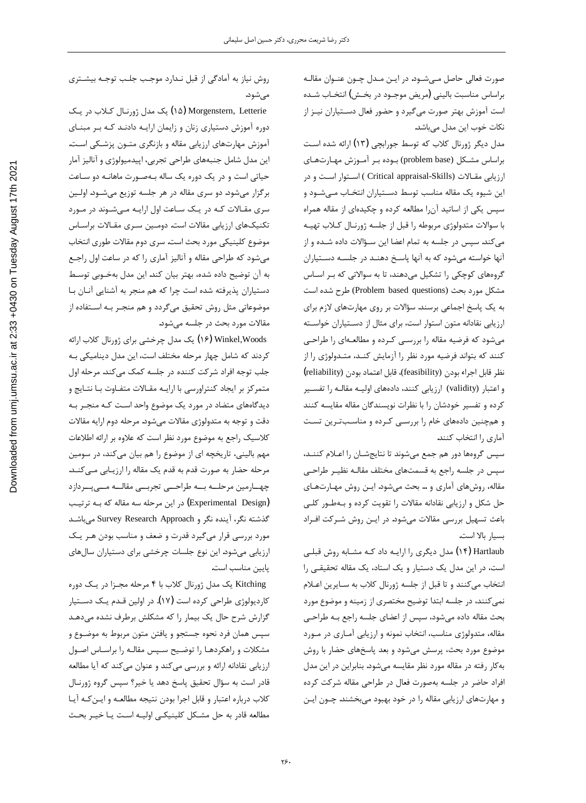صورت فعالی حاصل مےشـود. در ایـن مـدل چـون عنـوان مقالـه براساس مناسبت باليني (مريض موجـود در بخـش) انتخـاب شـده است آموزش بهتر صورت میگیرد و حضور فعال دسـتیاران نیـز از نكات خوب اين مدل مى باشد.

مدل دیگر ژورنال کلاب که توسط جورابچی (۱۳) ارائه شده است براساس مشكل (problem base) بوده بر آموزش مهارتهاى ارزيابي مقـالات ( Critical appraisal-Skills ) اسـتوار اسـت و در این شیوه یک مقاله مناسب توسط دسـتیاران انتخـاب مـیشـود و سپس یکی از اساتید آنرا مطالعه کرده و چکیدهای از مقاله همراه با سوالات متدولوژي مربوطه را قبل از جلسه ژورنـال كـلاب تهيـه میکند. سپس در جلسه به تمام اعضا این سـؤالات داده شـده و از آنها خواسته میشود که به آنها پاسخ دهنـد در جلسـه دسـتياران گروههای کوچکی را تشکیل میدهند، تا به سوالاتی که بـر اسـاس مشكل مورد بحث (Problem based questions) طرح شده است به یک پاسخ اجماعی برسند. سؤالات بر روی مهارتهای لازم برای ارزيابي نقادانه متون استوار است، براي مثال از دسـتياران خواسـته میشود که فرضیه مقاله را بررسی کرده و مطالعهای را طراحی کنند که بتواند فرضیه مورد نظر را آزمایش کنـد، متـدولوژی را از نظر قابل اجراء بودن (feliability)، قابل اعتماد بودن (reliability) و اعتبار (validity) ارزيابي كنند، دادههاي اوليـه مقالـه را تفسـير کرده و تفسیر خودشان را با نظرات نویسندگان مقاله مقایسه کنند و همچنین دادههای خام را بررسی کرده و مناسبترین تست آماری را انتخاب کنند.

سپس گروهها دور هم جمع میشوند تا نتایجشـان را اعـلام کننـد، سپس در جلسه راجع به قسمتهای مختلف مقالـه نظیـر طراحـی مقاله، روشهای آماری و … بحث میشود. ایـن روش مهـارتهـای حل شكل و ارزيابي نقادانه مقالات را تقويت كرده و بـهطـور كلـى باعث تسهيل بررسي مقالات ميشود. در ايـن روش شـركت افـراد بسيار بالا است.

Hartlaub (۱۴) مدل دیگری را ارایـه داد کـه مشـابه روش قبلـی است، در این مدل یک دستیار و یک استاد، یک مقاله تحقیقی را انتخاب میکنند و تا قبل از جلسه ژورنال کلاب به سایرین اعلام نمیکنند، در جلسه ابتدا توضیح مختصری از زمینه و موضوع مورد بحث مقاله داده میشود، سپس از اعضای جلسه راجع بـه طراحـی مقاله، متدولوژي مناسب، انتخاب نمونه و ارزيابي آمـاري در مـورد موضوع مورد بحث، پرسش میشود و بعد پاسخهای حضار با روش به کار رفته در مقاله مورد نظر مقایسه می شود. بنابراین در این مدل افراد حاضر در جلسه بهصورت فعال در طراحی مقاله شرکت کرده و مهارتهای ارزیابی مقاله را در خود بهبود میبخشند. چـون ایـن

روش نياز به آمادگي از قبل نـدارد موجـب جلـب توجـه بيشـتري مىشود.

 ƦºƿŹŵśLjºƧƩŚºƳŹƹĥƩŶƯƦƿ (æê) Morgenstern, Letterie دوره آموزش دستیاری زنان و زایمان ارایـه دادنـد کـه بـر مبنـای آموزش مهارتهای ارزیابی مقاله و بازنگری متـون پزشـکی اسـت. لین مدل شامل جنبههای طراحی تجربی، اپیدمیولوژی و آنالیز آمار حیاتی است و در یک دوره یک ساله بـهصـورت ماهانـه دو سـاعت برگزار میشود. دو سری مقاله در هر جلسه توزیع میشـود. اولـین سری مقـالات کـه در یـک سـاعت اول ارایـه مـیشـوند در مـورد تكنيكهاي ارزيابي مقالات است. دومـين سـرى مقـالات براسـاس موضوع كلينيكي مورد بحث است. سرى دوم مقالات طوري انتخاب میشود که طراحی مقاله و آنالیز آماری را که در ساعت اول راجع به آن توضيح داده شده، بهتر بيان كند. اين مدل بهخـوبي توسـط دستياران پذيرفته شده است چرا كه هم منجر به آشنايي آنـان بـا موضوعاتی مثل روش تحقیق میگردد و هم منجـر بـه اسـتفاده از مقالات مورد بحث در جلسه می شود.

Y۶) Winkel,Woods یک مدل چرخشی برای ژورنال کلاب ارائه كردند كه شامل چهار مرحله مختلف است، اين مدل ديناميكي بـه جلب توجه افراد شركت كننده در جلسه كمك مىكند. مرحله اول متمرکز بر ایجاد کنتراورسی با ارایـه مقـالات متفـاوت بـا نتـایج و دیدگاههای متضاد در مورد یک موضوع واحد است کـه منجـر بـه دقت و توجه به متدولوژي مقالات ميشود. مرحله دوم ارايه مقالات کلاسیک راجع به موضوع مورد نظر است که علاوه بر ارائه اطلاعات مهم باليني، تاريخچه اي از موضوع را هم بيان ميكند، در سومين مرحله حضار به صورت قدم به قدم یک مقاله را ارزیـابی مـیکنـد. چهــارمین مرحلـــه بـــه طراحـــی تجربـــی مقالـــه مـــی پـــردازد (Experimental Design) در این مرحله سه مقاله که بــه ترتیــب گذشته نگر، آینده نگر و Survey Research Approach میباشد مورد بررسي قرار ميگيرد قدرت و ضعف و مناسب بودن هـر يـك ارزيابي مي شود. اين نوع جلسات چرخشي براي دستياران سال هاي يايين مناسب است.

Kitching یک مدل ژورنال کلاب با ۴ مرحله مجـزا در یـک دوره کاردیولوژی طراحی کرده است (۱۷). در اولین قـدم یـک دسـتیار گزارش شرح حال یک بیمار را که مشکلش برطرف نشده میدهـد سپس همان فرد نحوه جستجو و يافتن متون مربوط به موضـوع و مشكلات و راهكردهـا را توضـيح سـپس مقالـه را براسـاس اصـول ارزيابي نقادانه ارائه و بررسي ميكند و عنوان ميكند كه آيا مطالعه قادر است به سؤال تحقیق پاسخ دهد یا خیر؟ سپس گروه ژورنـال كلاب درباره اعتبار و قابل اجرا بودن نتيجه مطالعـه و ايـن كـه آيـا مطالعه قادر به حل مشكل كلينيكي اوليـه اسـت يـا خيـر بحـث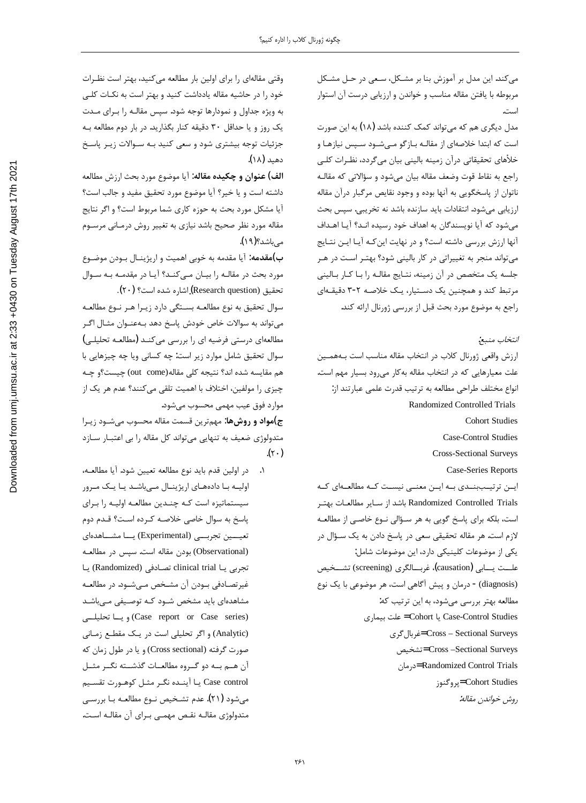میکند. این مدل بر آموزش بنا بر مشکل، سعی در حـل مشـکل مربوطه با يافتن مقاله مناسب و خواندن و ارزيابي درست آن استوار است.

مدل دیگری هم که می تواند کمک کننده باشد (۱۸) به این صورت است که ابتدا خلاصهای از مقالـه بـازگو مـیشـود سـپس نیازهـا و خلأهای تحقیقاتی درآن زمینه بالینی بیان میگردد، نظـرات کلــ <sub>،</sub> راجع به نقاط قوت وضعف مقاله بيان مي شود و سؤالاتي كه مقالـه ناتوان از پاسخگویی به آنها بوده و وجود نقایص مرگبار درآن مقاله ارزيابي ميشود. انتقادات بايد سازنده باشد نه تخريبي. سپس بحث میشود که آیا نویسندگان به اهداف خود رسیده انـد؟ آیـا اهـداف آنها ارزش بررسی داشته است؟ و در نهایت این *کـه* آیـا ایـن نتـایج می تواند منجر به تغییراتی در کار بالینی شود؟ بهتر است در هر جلسه یک متخصص در آن زمینه، نتـایج مقالـه را بـا کـار بـالینی مرتبط کند و همچنین یک دستیار، یک خلاصه ۲-۳ دقیقـهای راجع به موضوع مورد بحث قبل از بررسي ژورنال ارائه كند.

انتخاب منبع:

ارزش واقعی ژورنال کلاب در انتخاب مقاله مناسب است بههمین علت معيارهايي كه در انتخاب مقاله بهكار مىرود بسيار مهم است. انواع مختلف طراحي مطالعه به ترتيب قدرت علمي عبارتند از: Randomized Controlled Trials Cohort Studies

Case-Control Studies

Cross-Sectional Surveys

Case-Series Reports

ایس ترتیببندی بـه ایـن معنـی نیسـت کـه مطالعـهای کـه Randomized Controlled Trials باشد از سـاير مطالعـات بهتـر است، بلكه براي پاسخ گويي به هر سـؤالي نـوع خاصـي از مطالعـه لازم است. هر مقاله تحقیقی سعی در پاسخ دادن به یک سـؤال در نكي از موضوعات كلينيكي دارد، اين موضوعات شامل: علـــت يــــابي (causation)، غربــــالگرى (screening) تشـــخيص (diagnosis) - درمان و پیش آگاهی است، هر موضوعی با یک نوع مطالعه بهتر بررسی میشود، به این ترتیب که: Case-Control Studies يا Cohort = علت بيماري ƽźĭƩŚŝźƛ= Cross – Sectional Surveys ƆǀŴƄţ= Cross –Sectional Surveys ƱŚƯŹŵ= Randomized Control Trials Żƺƴĭƹźě= Cohort Studies روش خواندن مقاله:

وقتی مقالهای را برای اولین بار مطالعه میکنید، بهتر است نظـرات خود را در حاشيه مقاله يادداشت كنيد و بهتر است به نكـات كلـى به ویژه جداول و نمودارها توجه شود. سپس مقالـه را بـرای مـدت یک روز و یا حداقل ۳۰ دقیقه کنار بگذارید. در بار دوم مطالعه بـه جزئیات توجه بیشتری شود و سعی کنید بـه سـوالات زیـر پاسـخ دهيد (١٨).

<mark>الف) عنوان و چکیده مقاله:</mark> آیا موضوع مورد بحث ارزش مطالعه داشته است و يا خير؟ آيا موضوع مورد تحقيق مفيد و جالب است؟ آیا مشکل مورد بحث به حوزه کاری شما مربوط است؟ و اگر نتایج مقاله مورد نظر صحيح باشد نيازي به تغيير روش درمـاني مرسـوم مے باشد؟(۱۹).

ب)مقدمه: آیا مقدمه به خوبی اهمیت و اریژینـال بـودن موضـوع مورد بحث در مقالـه را بيـان مـىكنـد؟ آيـا در مقدمـه بـه سـوال تحقيق (Research question) اشاره شده است؟ (٢٠).

سوال تحقيق به نوع مطالعـه بسـتگى دارد زيـرا هـر نـوع مطالعـه میتواند به سوالات خاص خودش پاسخ دهد بـهعنـوان مثـال اگـر مطالعهای درستی فرضیه ای را بررسی میکنـد (مطالعـه تحلیلـی) شوال تحقیق شامل موارد زیر است: چه کسانی ویا چه چیزهایی با هم مقايسه شده اند؟ نتيجه كلى مقاله(out come) چيست؟و چـه چیزی را مولفین، اختلاف با اهمیت تلقی میکنند؟ عدم هر یک از موارد فوق عيب مهمي محسوب مي شود.

 řźºƿŻŵƺºƃƾƯśƺƀŰƯƶƫŚƤƯŢưƀƣƲƿźţƮƸƯ **:ŚƷƁƹŹƹŵřƺƯ(ũ** متدولوژی ضعیف به تنهایی میتواند کل مقاله را بی اعتبـار سـازد  $(\gamma \cdot)$ 

در اولين قدم بايد نوع مطالعه تعيين شود. آيا مطالعـه، اولیـه بـا دادههـای اریژینـال مـیباشـد یـا یـک مـرور سیستماتیزه است که چندین مطالعه اولیـه را بـرای پاسخ به سوال خاصی خلاصه کرده است؟ قـدم دوم تعیـــین تجربـــی (Experimental) یــا مشــاهدهای (Observational) بودن مقاله است. سپس در مطالعـه تجربی یـا clinical trial تصـادفی (Randomized) یـا غیرتصـادفی بـودن آن مشـخص مـیشـود. در مطالعـه مشاهدهای باید مشخص شـود کـه توصـیفی مـیباشـد ƾººƬǀƬŰţŚººƿ ƹ (Case report or Case series) (Analytic) و اگر تحلیلی است در یک مقطع زمـانی صورت گرفته (Cross sectional) و یا در طول زمان که آن هـم بـه دو گـروه مطالعـات گذشــته نگـر مثــل Case control يا آينـده نگـر مثـل كوهـورت تقسـيم میشود (۲۱). عدم تشخیص نـوع مطالعـه بـا بررسـی متدولوژي مقالـه نقـص مهمـي بـراي آن مقالـه اسـت.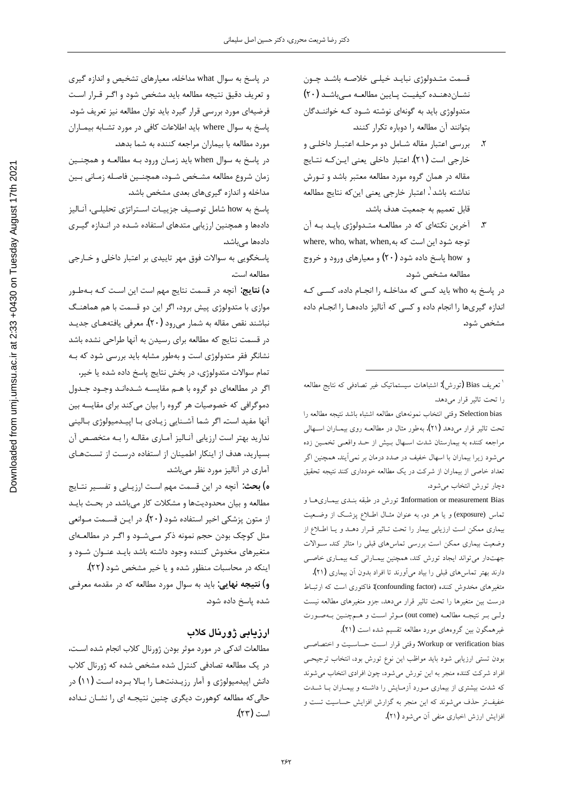قسمت متـدولوژي نبايـد خيلـي خلاصـه باشـد چـون نشان دهنده كيفيت پايين مطالعه مى باشد (٢٠) متدولوژی باید به گونهای نوشته شـود کـه خواننـدگان بتوانند آن مطالعه را دوباره تكرار كنند.

- ۲. بررسی اعتبار مقاله شـامل دو مرحلـه اعتبـار داخلـی و خارجي است (٢١). اعتبار داخلي يعني ايـن كـه نتـايج مقاله در همان گروه مورد مطالعه معتبر باشد و تـورش نداشته باشد <sup>٬</sup>. اعتبار خارجي يعني اينكه نتايج مطالعه قابل تعميم به جمعيت هدف باشد.
- ۳. آخرین نکتهای که در مطالعـه متـدولوژی بایـد بـه آن where, who, what, when,د توجه شود این است که به و how پاسخ داده شود (۲۰) و معیارهای ورود و خروج مطالعه مشخص شود.

در پاسخ به who باید کسی که مداخلـه را انجـام داده، کسـی کـه اندازه گیریها را انجام داده و کسی که آنالیز دادهها را انجـام داده مشخص شود.

Information or measurement Bias: تورش در طبقه بنــدی بیمــاریهــا و تماس (exposure) و يا هر دو. به عنوان مثــال اطــلاع پزشــک از وضــعيت بیماری ممکن است ارزیابی بیمار را تحت تـاثیر قـرار دهـد و یـا اطـلاع از وضعیت بیماری ممکن است بررسی تماسهای قبلی را متاثر کند. سـوالات جهتدار می تواند ایجاد تورش کند، همچنین بیمـارانی کـه بیمـاری خاصـی دارند بهتر تماس های قبلی را بیاد میآورند تا افراد بدون آن بیماری (۲۱).

متغیرهای مخدوش کننده (confounding factor): فاکتوری است که ارتبـاط درست بين متغيرها را تحت تاثير قرار مىدهد، جزو متغيرهاى مطالعه نيست ولـي بـر نتيجـه مطالعـه (out come) مـوثر اسـت و هـمچنـين بـهصـورت غيرهمگون بين گروههاي مورد مطالعه تقسيم شده است (٢١).

Workup or verification bias: وقتى قرار است حساسـيت و اختصاصـى بودن تستى ارزيابى شود بايد مواظب اين نوع تورش بود، انتخاب ترجيحى افراد شرکت کننده منجر به این تورش میشود، چون افرادی انتخاب میشوند که شدت بیشتری از بیماری مورد آزمـایش را داشـته و بیمـاران بـا شــدت خفیفتر حذف میشوند که این منجر به گزارش افزایش حساسیت تست و افزایش ارزش اخباری منفی آن میشود (۲۱).

در پاسخ به سوال what مداخله، معیارهای تشخیص و اندازه گیری و تعريف دقيق نتيجه مطالعه بايد مشخص شود و اگر قـرار اسـت فرضيهاي مورد بررسي قرار گيرد بايد توان مطالعه نيز تعريف شود. یاسخ به سوال where باید اطلاعات کافی در مورد تشـابه بیمـاران مورد مطالعه با بيماران مراجعه كننده به شما بدهد.

در پاسخ به سوال when باید زمـان ورود بـه مطالعـه و همچنـین زمان شروع مطالعه مشـخص شـود، همچنـین فاصـله زمـانی بـین مداخله و اندازه گیریهای بعدی مشخص باشد.

پاسخ به how شامل توصيف جزييـات اسـتراتژي تحليلـي، آنـاليز دادهها و همچنین ارزیابی متدهای استفاده شـده در انـدازه گیـری دادہھا مے باشد.

پاسخگویی به سوالات فوق مهر تاییدی بر اعتبار داخلی و خـارجی مطالعه است.

<mark>د) نتايج</mark>: آنچه در قسمت نتايج مهم است اين اسـت كـه بـهطـور موازی با متدولوژی پیش برود، اگر این دو قسمت با هم هماهنگ نباشند نقص مقاله به شمار مىرود (٢٠). معرفى يافتههـاى جديـد در قسمت نتايج كه مطالعه براي رسيدن به آنها طراحي نشده باشد نشانگر فقر متدولوژی است و بهطور مشابه باید بررسی شود که بـه تمام سوالات متدولوژي، در بخش نتايج پاسخ داده شده يا خير. اگر در مطالعهای دو گروه با هـم مقایسـه شـدهانـد وجـود جـدول دموگرافی که خصوصیات هر گروه را بیان میکند برای مقایسه بین آنها مفيد است. اگر شما آشـنايي زيـادي بـا اپيـدميولوژي بـاليني ندارید بهتر است ارزیابی آنـالیز آمـاری مقالـه را بـه متخصـص آن بسپارید، هدف از اینکار اطمینان از استفاده درست از تستهای آماری در آنالیز مورد نظر میباشد.

<mark>ه) بحث</mark>: آنچه در این قسمت مهم است ارزیـابی و تفسـیر نتـایج مطالعه و بيان محدوديتها و مشكلات كار مىباشد. در بحث بايـد از متون پزشکی اخیر استفاده شود (۲۰). در ایـن قسـمت مـوانعی مثل کوچک بودن حجم نمونه ذکر مےشـود و اگـر در مطالعـهای متغیرهای مخدوش کننده وجود داشته باشد بایـد عنـوان شـود و اینکه در محاسبات منظور شده و یا خیر مشخص شود (۲۲).

<mark>و) نتیجه نهایی</mark>: باید به سوال مورد مطالعه که در مقدمه معرفـی شده پاسخ داده شود.

## ارزیابی ژورنال کلاب

مطالعات اندكي در مورد موثر بودن ژورنال كلاب انجام شده است، ذر یک مطالعه تصادفی کنترل شده مشخص شده که ژورنال کلاب دانش اپیدمیولوژی و آمار رزیـدنتهـا را بـالا بـرده اسـت (۱۱) در حالی که مطالعه کوهورت دیگری چنین نتیجـه ای را نشـان نـداده است (۲۳).

<sup>`</sup> تعريف Bias (تورش): اشتباهات سيستماتيک غير تصادفى كه نتايج مطالعه را تحت تاثير قرار مي دهد.

Selection bias: وقتى انتخاب نمونههاى مطالعه اشتباه باشد نتيجه مطالعه را تحت تاثير قرار مىدهد (٢١). بهطور مثال در مطالعـه روى بيمـاران اســهالى مراجعه کننده به بیمارستان شدت اسـهال بـیش از حـد واقعـی تخمـین زده میشود زیرا بیماران با اسهال خفیف در صدد درمان بر نمیآیند. همچنین اگر تعداد خاصی از بیماران از شرکت در یک مطالعه خودداری کنند نتیجه تحقیق دچار تورش انتخاب مي شود.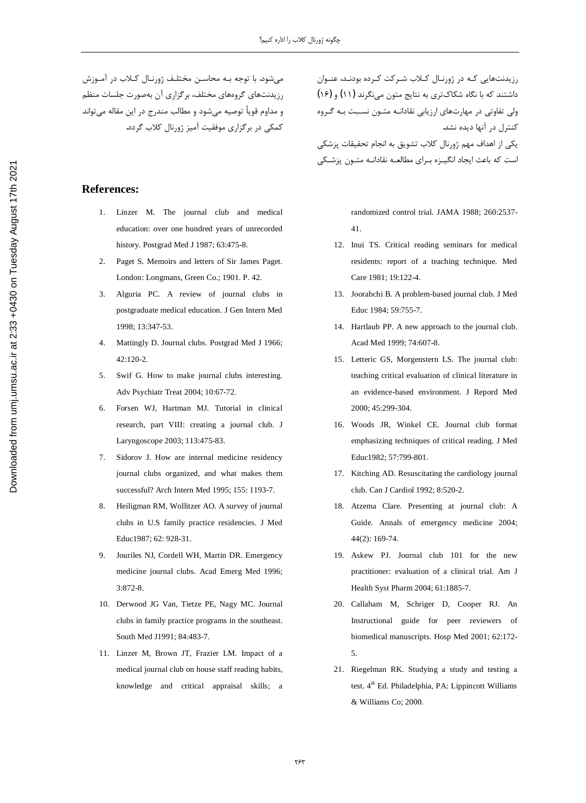می شود. با توجه بـه محاسـن مختلـف ژورنـال کـلاب در آمـوزش رزیدنتهای گروههای مختلف، برگزاری آن بهصورت جلسات منظم و مداوم قويأ توصيه ميشود و مطالب مندرج در اين مقاله ميتواند کمکی در برگزاری موفقیت آمیز ژورنال کلاب گردد.

#### **References:**

- 1. Linzer M. The journal club and medical education: over one hundred years of unrecorded history. Postgrad Med J 1987; 63:475-8.
- 2. Paget S. Memoirs and letters of Sir James Paget. London: Longmans, Green Co.; 1901. P. 42.
- 3. Alguria PC. A review of journal clubs in postgraduate medical education. J Gen Intern Med 1998; 13:347-53.
- 4. Mattingly D. Journal clubs. Postgrad Med J 1966; 42:120-2.
- 5. Swif G. How to make journal clubs interesting. Adv Psychiatr Treat 2004; 10:67-72.
- 6. Forsen WJ, Hartman MJ. Tutorial in clinical research, part VIII: creating a journal club. J Laryngoscope 2003; 113:475-83.
- 7. Sidorov J. How are internal medicine residency journal clubs organized, and what makes them successful? Arch Intern Med 1995; 155: 1193-7.
- 8. Heiligman RM, Wollitzer AO. A survey of journal clubs in U.S family practice residencies. J Med Educ1987; 62: 928-31.
- 9. Jouriles NJ, Cordell WH, Martin DR. Emergency medicine journal clubs. Acad Emerg Med 1996; 3:872-8.
- 10. Derwood JG Van, Tietze PE, Nagy MC. Journal clubs in family practice programs in the southeast. South Med J1991; 84:483-7.
- 11. Linzer M, Brown JT, Frazier LM. Impact of a medical journal club on house staff reading habits, knowledge and critical appraisal skills; a

رزیدنتهایی کـه در ژورنـال کـلاب شـرکت کـرده بودنـد، عنـوان داشتند که با نگاه شکاکتری به نتایج متون مینگرند (۱۱) و (۱۶) ولی تفاوتی در مهارتهای ارزیابی نقادانـه متـون نسـبت بـه گـروه کنترل در آنها دیده نشد. یکی از اهداف مهم ژورنال کلاب تشویق به انجام تحقیقات پزشکی است که باعث ایجاد انگیـزه بـرای مطالعـه نقادانـه متـون پزشـکی

> randomized control trial. JAMA 1988; 260:2537- 41.

- 12. Inui TS. Critical reading seminars for medical residents: report of a teaching technique. Med Care 1981; 19:122-4.
- 13. Joorabchi B. A problem-based journal club. J Med Educ 1984; 59:755-7.
- 14. Hartlaub PP. A new approach to the journal club. Acad Med 1999; 74:607-8.
- 15. Letteric GS, Morgenstern LS. The journal club: teaching critical evaluation of clinical literature in an evidence-based environment. J Repord Med 2000; 45:299-304.
- 16. Woods JR, Winkel CE. Journal club format emphasizing techniques of critical reading. J Med Educ1982; 57:799-801.
- 17. Kitching AD. Resuscitating the cardiology journal club. Can J Cardiol 1992; 8:520-2.
- 18. Atzema Clare. Presenting at journal club: A Guide. Annals of emergency medicine 2004; 44(2): 169-74.
- 19. Askew PJ. Journal club 101 for the new practitioner: evaluation of a clinical trial. Am J Health Syst Pharm 2004; 61:1885-7.
- 20. Callaham M, Schriger D, Cooper RJ. An Instructional guide for peer reviewers of biomedical manuscripts. Hosp Med 2001; 62:172- 5.
- 21. Riegelman RK. Studying a study and testing a test.  $4<sup>th</sup>$  Ed. Philadelphia, PA: Lippincott Williams & Williams Co; 2000.